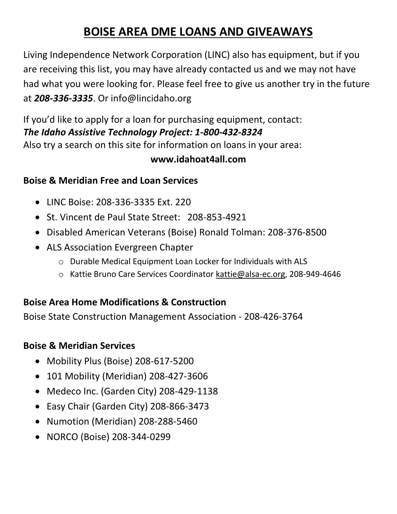# **BOISE AREA DME LOANS AND GIVEAWAYS**

Living Independence Network Corporation (LINC) also has equipment, but if you are receiving this list, you may have already contacted us and we may not have had what you were looking for. Please feel free to give us another try in the future at *208-336-3335*. Or info@lincidaho.org

If you'd like to apply for a loan for purchasing equipment, contact: *The Idaho Assistive Technology Project: 1-800-432-8324* Also try a search on this site for information on loans in your area:

### **www.idahoat4all.com**

### **Boise & Meridian Free and Loan Services**

- LINC Boise: 208-336-3335 Ext. 220
- St. Vincent de Paul State Street: 208-853-4921
- Disabled American Veterans (Boise) Ronald Tolman: 208-376-8500
- ALS Association Evergreen Chapter
	- o Durable Medical Equipment Loan Locker for Individuals with ALS
	- o Kattie Bruno Care Services Coordinator [kattie@alsa-ec.org,](mailto:kattie@alsa-ec.org) 208-949-4646

## **Boise Area Home Modifications & Construction**

Boise State Construction Management Association - 208-426-3764

# **Boise & Meridian Services**

- Mobility Plus (Boise) 208-617-5200
- 101 Mobility (Meridian) 208-427-3606
- Medeco Inc. (Garden City) 208-429-1138
- Easy Chair (Garden City) 208-866-3473
- Numotion (Meridian) 208-288-5460
- NORCO (Boise) 208-344-0299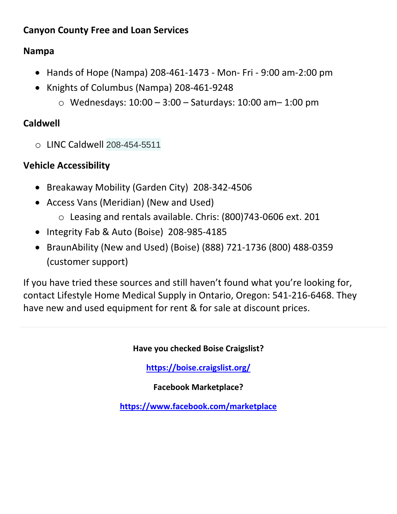## **Canyon County Free and Loan Services**

# **Nampa**

- Hands of Hope (Nampa) 208-461-1473 Mon- Fri 9:00 am-2:00 pm
- Knights of Columbus (Nampa) 208-461-9248
	- o Wednesdays: 10:00 3:00 Saturdays: 10:00 am– 1:00 pm

# **Caldwell**

o LINC Caldwell 208-454-5511

# **Vehicle Accessibility**

- Breakaway Mobility (Garden City) 208-342-4506
- Access Vans (Meridian) (New and Used)
	- o Leasing and rentals available. Chris: (800)743-0606 ext. 201
- Integrity Fab & Auto (Boise) 208-985-4185
- BraunAbility (New and Used) (Boise) (888) 721-1736 (800) 488-0359 (customer support)

If you have tried these sources and still haven't found what you're looking for, contact Lifestyle Home Medical Supply in Ontario, Oregon: 541-216-6468. They have new and used equipment for rent & for sale at discount prices.

#### **Have you checked Boise Craigslist?**

**<https://boise.craigslist.org/>**

**Facebook Marketplace?**

**<https://www.facebook.com/marketplace>**